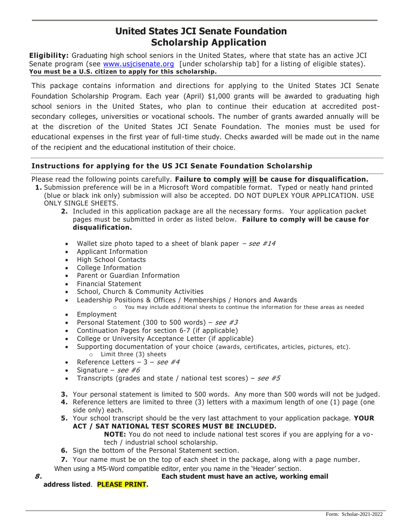# **United States JCI Senate Foundation Scholarship Application**

**Eligibility:** Graduating high school seniors in the United States, where that state has an active JCI Senate program (see www.usicisenate.org [under scholarship tab] for a listing of eligible states). **You must be a U.S. citizen to apply for this scholarship.**

This package contains information and directions for applying to the United States JCI Senate Foundation Scholarship Program. Each year (April) \$1,000 grants will be awarded to graduating high school seniors in the United States, who plan to continue their education at accredited postsecondary colleges, universities or vocational schools. The number of grants awarded annually will be at the discretion of the United States JCI Senate Foundation. The monies must be used for educational expenses in the first year of full-time study. Checks awarded will be made out in the name of the recipient and the educational institution of their choice.

# **Instructions for applying for the US JCI Senate Foundation Scholarship**

Please read the following points carefully. **Failure to comply will be cause for disqualification.**

- **1.** Submission preference will be in a Microsoft Word compatible format. Typed or neatly hand printed (blue or black ink only) submission will also be accepted. DO NOT DUPLEX YOUR APPLICATION. USE ONLY SINGLE SHEETS.
	- **2.** Included in this application package are all the necessary forms. Your application packet pages must be submitted in order as listed below. **Failure to comply will be cause for disqualification.**
	- Wallet size photo taped to a sheet of blank paper  $-$  see  $\#14$
	- Applicant Information
	- High School Contacts
	- College Information
	- Parent or Guardian Information
	- Financial Statement
	- School, Church & Community Activities
	- Leadership Positions & Offices / Memberships / Honors and Awards
		- o You may include additional sheets to continue the information for these areas as needed
	- Employment
	- Personal Statement (300 to 500 words) see #3
	- Continuation Pages for section 6-7 (if applicable)
	- College or University Acceptance Letter (if applicable)
	- Supporting documentation of your choice (awards, certificates, articles, pictures, etc). o Limit three (3) sheets
	- Reference Letters  $3 \textit{see #4}$
	- Signature see #6
	- Transcripts (grades and state / national test scores) see  $#5$
	- **3.** Your personal statement is limited to 500 words. Any more than 500 words will not be judged.
	- **4.** Reference letters are limited to three (3) letters with a maximum length of one (1) page (one side only) each.
	- **5.** Your school transcript should be the very last attachment to your application package. **YOUR ACT / SAT NATIONAL TEST SCORES MUST BE INCLUDED.**

**NOTE:** You do not need to include national test scores if you are applying for a votech / industrial school scholarship.

- **6.** Sign the bottom of the Personal Statement section.
- **7.** Your name must be on the top of each sheet in the package, along with a page number.

When using a MS-Word compatible editor, enter you name in the 'Header' section.

- **8. Each student must have an active, working email** 
	- **address listed**. **PLEASE PRINT.**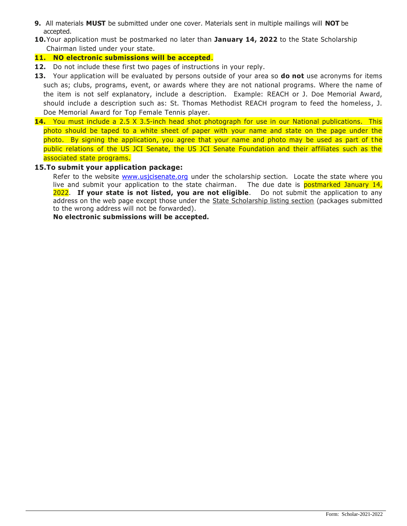- **9.** All materials **MUST** be submitted under one cover. Materials sent in multiple mailings will **NOT** be accepted.
- **10.**Your application must be postmarked no later than **January 14, 2022** to the State Scholarship Chairman listed under your state.

## **11. NO electronic submissions will be accepted**.

- **12.** Do not include these first two pages of instructions in your reply.
- **13.** Your application will be evaluated by persons outside of your area so **do not** use acronyms for items such as; clubs, programs, event, or awards where they are not national programs. Where the name of the item is not self explanatory, include a description. Example: REACH or J. Doe Memorial Award, should include a description such as: St. Thomas Methodist REACH program to feed the homeless, J. Doe Memorial Award for Top Female Tennis player.
- **14.** You must include a 2.5 X 3.5-inch head shot photograph for use in our National publications. This photo should be taped to a white sheet of paper with your name and state on the page under the photo. By signing the application, you agree that your name and photo may be used as part of the public relations of the US JCI Senate, the US JCI Senate Foundation and their affiliates such as the associated state programs.

## **15.To submit your application package:**

Refer to the website [www.usjcisenate.org](http://www.usjcisenate.org/) under the scholarship section. Locate the state where you live and submit your application to the state chairman. The due date is **postmarked January 14,** 2022. **If your state is not listed, you are not eligible**. Do not submit the application to any address on the web page except those under the State Scholarship listing section (packages submitted to the wrong address will not be forwarded).

**No electronic submissions will be accepted.**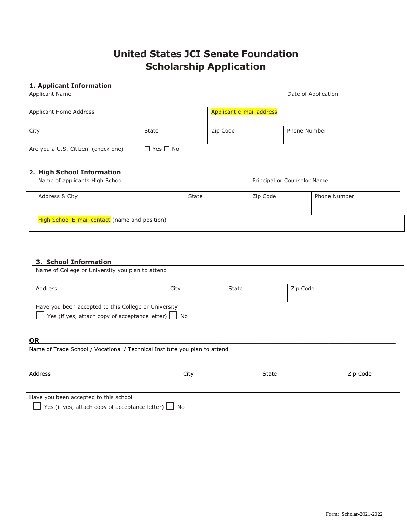# **United States JCI Senate Foundation Scholarship Application**

### **1. Applicant Information**

| <b>Applicant Name</b>              |                      |                          | Date of Application |
|------------------------------------|----------------------|--------------------------|---------------------|
| Applicant Home Address             |                      | Applicant e-mail address |                     |
| City                               | State                | Zip Code                 | <b>Phone Number</b> |
| Are you a U.S. Citizen (check one) | $\Box$ Yes $\Box$ No |                          |                     |

### **2. High School Information**

| Name of applicants High School                 |       | Principal or Counselor Name |                     |
|------------------------------------------------|-------|-----------------------------|---------------------|
| Address & City                                 | State | Zip Code                    | <b>Phone Number</b> |
| High School E-mail contact (name and position) |       |                             |                     |

#### **3. School Information**

Name of College or University you plan to attend

| Address                                                                                                                 | City | State | Zip Code |
|-------------------------------------------------------------------------------------------------------------------------|------|-------|----------|
| Have you been accepted to this College or University<br>$\Box$ Yes (if yes, attach copy of acceptance letter) $\Box$ No |      |       |          |

# **OR\_\_\_\_\_\_\_\_\_\_\_\_\_\_\_\_\_\_\_\_\_\_\_\_\_\_\_\_\_\_\_\_\_\_\_\_\_\_\_\_\_\_\_\_\_\_\_\_\_\_\_\_\_\_**

Name of Trade School / Vocational / Technical Institute you plan to attend

| Address                                                                                           | City | State | Zip Code |
|---------------------------------------------------------------------------------------------------|------|-------|----------|
| Have you been accepted to this school<br>Yes (if yes, attach copy of acceptance letter) $\Box$ No |      |       |          |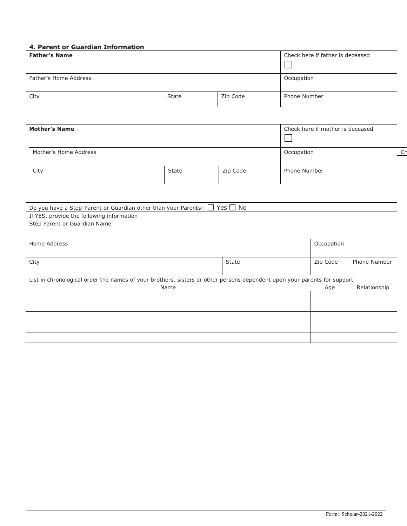# **4. Parent or Guardian Information**

| <b>Father's Name</b>                                                                                                                                             |       | Check here if father is deceased |                                  |            |              |    |
|------------------------------------------------------------------------------------------------------------------------------------------------------------------|-------|----------------------------------|----------------------------------|------------|--------------|----|
| Father's Home Address                                                                                                                                            |       |                                  | Occupation                       |            |              |    |
| City                                                                                                                                                             | State | Zip Code                         | Phone Number                     |            |              |    |
|                                                                                                                                                                  |       |                                  |                                  |            |              |    |
| <b>Mother's Name</b>                                                                                                                                             |       |                                  | Check here if mother is deceased |            |              |    |
| Mother's Home Address                                                                                                                                            |       |                                  |                                  | Occupation |              | Ch |
| City                                                                                                                                                             | State | Zip Code                         | Phone Number                     |            |              |    |
|                                                                                                                                                                  |       |                                  |                                  |            |              |    |
| Do you have a Step-Parent or Guardian other than your Parents: $\Box$ Yes $\Box$ No<br>If YES, provide the following information<br>Step Parent or Guardian Name |       |                                  |                                  |            |              |    |
| Home Address                                                                                                                                                     |       |                                  |                                  | Occupation |              |    |
| City                                                                                                                                                             |       | State                            |                                  | Zip Code   | Phone Number |    |
| List in chronological order the names of your brothers, sisters or other persons dependent upon your parents for support                                         | Name  |                                  |                                  | Age        | Relationship |    |
|                                                                                                                                                                  |       |                                  |                                  |            |              |    |
|                                                                                                                                                                  |       |                                  |                                  |            |              |    |
|                                                                                                                                                                  |       |                                  |                                  |            |              |    |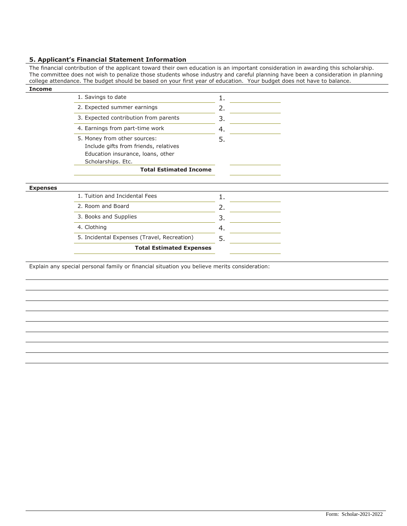#### **5. Applicant's Financial Statement Information**

The financial contribution of the applicant toward their own education is an important consideration in awarding this scholarship. The committee does not wish to penalize those students whose industry and careful planning have been a consideration in planning college attendance. The budget should be based on your first year of education. Your budget does not have to balance.

| <b>Income</b>   |                                                                                                            |    |
|-----------------|------------------------------------------------------------------------------------------------------------|----|
|                 | 1. Savings to date                                                                                         | 1. |
|                 | 2. Expected summer earnings                                                                                | 2. |
|                 | 3. Expected contribution from parents                                                                      | 3. |
|                 | 4. Earnings from part-time work                                                                            | 4. |
|                 | 5. Money from other sources:<br>Include gifts from friends, relatives<br>Education insurance, loans, other | 5. |
|                 | Scholarships. Etc.<br><b>Total Estimated Income</b>                                                        |    |
|                 |                                                                                                            |    |
| <b>Expenses</b> |                                                                                                            |    |
|                 | 1. Tuition and Incidental Fees                                                                             | 1. |
|                 | 2. Room and Board                                                                                          | 2. |
|                 | 3. Books and Supplies                                                                                      | 3. |
|                 | 4. Clothing                                                                                                | 4. |
|                 | 5. Incidental Expenses (Travel, Recreation)                                                                | 5. |
|                 | <b>Total Estimated Expenses</b>                                                                            |    |
|                 |                                                                                                            |    |

Explain any special personal family or financial situation you believe merits consideration: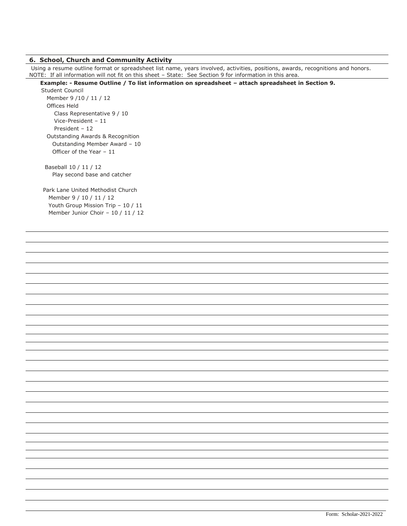#### **6. School, Church and Community Activity**

Using a resume outline format or spreadsheet list name, years involved, activities, positions, awards, recognitions and honors. NOTE: If all information will not fit on this sheet – State: See Section 9 for information in this area.

 **Example: - Resume Outline / To list information on spreadsheet – attach spreadsheet in Section 9.**

Student Council Member 9 /10 / 11 / 12 Offices Held Class Representative 9 / 10 Vice-President – 11 President – 12 Outstanding Awards & Recognition Outstanding Member Award – 10 Officer of the Year – 11

 Baseball 10 / 11 / 12 Play second base and catcher

Park Lane United Methodist Church Member 9 / 10 / 11 / 12 Youth Group Mission Trip – 10 / 11 Member Junior Choir – 10 / 11 / 12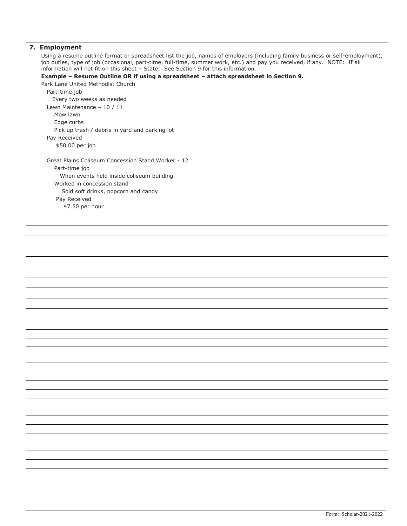#### **7. Employment**

Using a resume outline format or spreadsheet list the job, names of employers (including family business or self-employment), job duties, type of job (occasional, part-time, full-time, summer work, etc.) and pay you received, if any. NOTE: If all information will not fit on this sheet – State: See Section 9 for this information.

#### **Example – Resume Outline OR if using a spreadsheet – attach spreadsheet in Section 9.**

Park Lane United Methodist Church Part-time job Every two weeks as needed Lawn Maintenance – 10 / 11 Mow lawn Edge curbs Pick up trash / debris in yard and parking lot Pay Received \$50.00 per job Great Plains Coliseum Concession Stand Worker - 12 Part-time job When events held inside coliseum building Worked in concession stand Sold soft drinks, popcorn and candy Pay Received \$7.50 per hour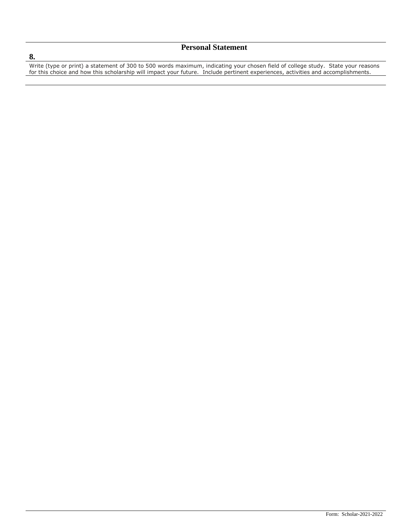# **Personal Statement**

Write (type or print) a statement of 300 to 500 words maximum, indicating your chosen field of college study. State your reasons for this choice and how this scholarship will impact your future. Include pertinent experiences, activities and accomplishments.

## **8.**